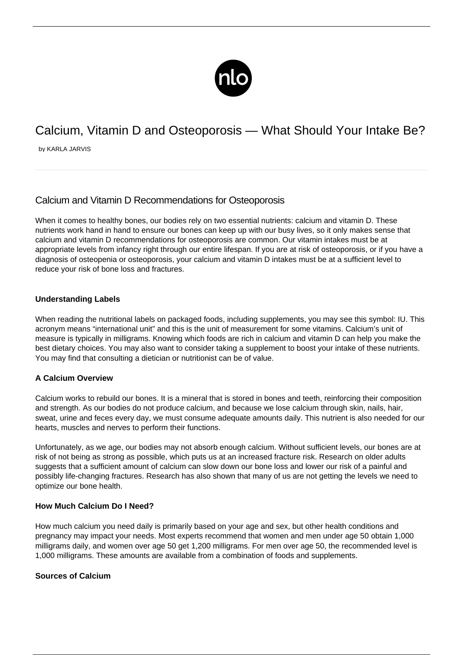

# Calcium, Vitamin D and Osteoporosis — What Should Your Intake Be?

by KARLA JARVIS

# Calcium and Vitamin D Recommendations for Osteoporosis

When it comes to healthy bones, our bodies rely on two essential nutrients: calcium and vitamin D. These nutrients work hand in hand to ensure our bones can keep up with our busy lives, so it only makes sense that calcium and vitamin D recommendations for osteoporosis are common. Our vitamin intakes must be at appropriate levels from infancy right through our entire lifespan. If you are at risk of osteoporosis, or if you have a diagnosis of osteopenia or osteoporosis, your calcium and vitamin D intakes must be at a sufficient level to reduce your risk of bone loss and fractures.

## **Understanding Labels**

When reading the nutritional labels on packaged foods, including supplements, you may see this symbol: IU. This acronym means "international unit" and this is the unit of measurement for some vitamins. Calcium's unit of measure is typically in milligrams. Knowing which foods are rich in calcium and vitamin D can help you make the best dietary choices. You may also want to consider taking a supplement to boost your intake of these nutrients. You may find that consulting a dietician or nutritionist can be of value.

#### **A Calcium Overview**

Calcium works to rebuild our bones. It is a mineral that is stored in bones and teeth, reinforcing their composition and strength. As our bodies do not produce calcium, and because we lose calcium through skin, nails, hair, sweat, urine and feces every day, we must consume adequate amounts daily. This nutrient is also needed for our hearts, muscles and nerves to perform their functions.

Unfortunately, as we age, our bodies may not absorb enough calcium. Without sufficient levels, our bones are at risk of not being as strong as possible, which puts us at an increased [fracture risk.](/reducing-the-risk-of-bone-fracture-for-osteoporosis/) Research on older adults suggests that a sufficient amount of calcium can slow down our bone loss and lower our risk of a painful and possibly life-changing fractures. Research has also shown that many of us are not getting the levels we need to optimize our bone health.

#### **How Much Calcium Do I Need?**

How much calcium you need daily is primarily based on your age and sex, but other health conditions and pregnancy may impact your needs. Most experts recommend that women and men under age 50 obtain 1,000 milligrams daily, and women over age 50 get 1,200 milligrams. For men over age 50, the recommended level is 1,000 milligrams. These amounts are available from a combination of foods and supplements.

#### **Sources of Calcium**